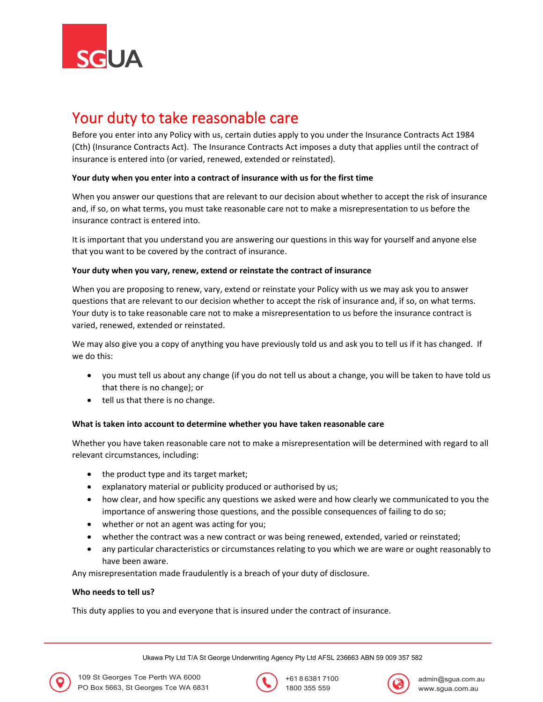

# Your duty to take reasonable care

Before you enter into any Policy with us, certain duties apply to you under the Insurance Contracts Act 1984 (Cth) (Insurance Contracts Act). The Insurance Contracts Act imposes a duty that applies until the contract of insurance is entered into (or varied, renewed, extended or reinstated).

## **Your duty when you enter into a contract of insurance with us for the first time**

When you answer our questions that are relevant to our decision about whether to accept the risk of insurance and, if so, on what terms, you must take reasonable care not to make a misrepresentation to us before the insurance contract is entered into.

It is important that you understand you are answering our questions in this way for yourself and anyone else that you want to be covered by the contract of insurance.

## **Your duty when you vary, renew, extend or reinstate the contract of insurance**

When you are proposing to renew, vary, extend or reinstate your Policy with us we may ask you to answer questions that are relevant to our decision whether to accept the risk of insurance and, if so, on what terms. Your duty is to take reasonable care not to make a misrepresentation to us before the insurance contract is varied, renewed, extended or reinstated.

We may also give you a copy of anything you have previously told us and ask you to tell us if it has changed. If we do this:

- you must tell us about any change (if you do not tell us about a change, you will be taken to have told us that there is no change); or
- tell us that there is no change.

# **What is taken into account to determine whether you have taken reasonable care**

Whether you have taken reasonable care not to make a misrepresentation will be determined with regard to all relevant circumstances, including:

- the product type and its target market;
- explanatory material or publicity produced or authorised by us;
- how clear, and how specific any questions we asked were and how clearly we communicated to you the importance of answering those questions, and the possible consequences of failing to do so;
- whether or not an agent was acting for you;
- whether the contract was a new contract or was being renewed, extended, varied or reinstated;
- any particular characteristics or circumstances relating to you which we are ware or ought reasonably to have been aware.

Any misrepresentation made fraudulently is a breach of your duty of disclosure.

#### **Who needs to tell us?**

This duty applies to you and everyone that is insured under the contract of insurance.

Ukawa Pty Ltd T/A St George Underwriting Agency Pty Ltd AFSL 236663 ABN 59 009 357 582